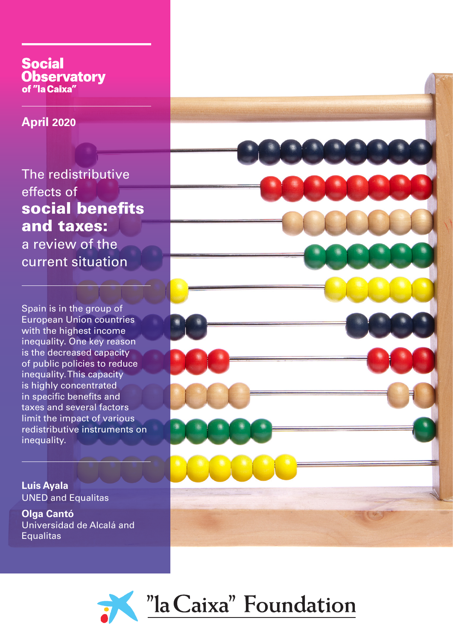# **Social Observatory** of "la Caixa"

**April 2020**

The redistributive effects of social benefits and taxes: a review of the current situation

Spain is in the group of European Union countries with the highest income inequality. One key reason is the decreased capacity of public policies to reduce inequality. This capacity is highly concentrated in specific benefits and taxes and several factors limit the impact of various redistributive instruments on inequality.

**Luis Ayala** UNED and Equalitas

**Olga Cantó** Universidad de Alcalá and **Equalitas** 



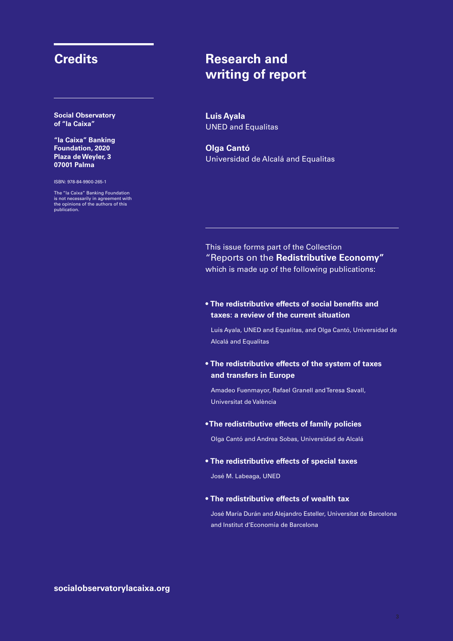**Social Observatory of "la Caixa"**

**"la Caixa" Banking Foundation, 2020 Plaza de Weyler, 3 07001 Palma**

ISBN: 978-84-9900-265-1

The "la Caixa" Banking Foundation is not necessarily in agreement with the opinions of the authors of this publication.

# **Credits Research and writing of report**

**Luis Ayala** UNED and Equalitas

**Olga Cantó** Universidad de Alcalá and Equalitas

### This issue forms part of the Collection "Reports on the **Redistributive Economy"** which is made up of the following publications:

### • **The redistributive effects of social benefits and taxes: a review of the current situation**

Luis Ayala, UNED and Equalitas, and Olga Cantó, Universidad de Alcalá and Equalitas

• **The redistributive effects of the system of taxes and transfers in Europe**

Amadeo Fuenmayor, Rafael Granell and Teresa Savall, Universitat de València

#### •**The redistributive effects of family policies**

Olga Cantó and Andrea Sobas, Universidad de Alcalá

#### • **The redistributive effects of special taxes**

José M. Labeaga, UNED

### • **The redistributive effects of wealth tax**

José María Durán and Alejandro Esteller, Universitat de Barcelona and Institut d'Economia de Barcelona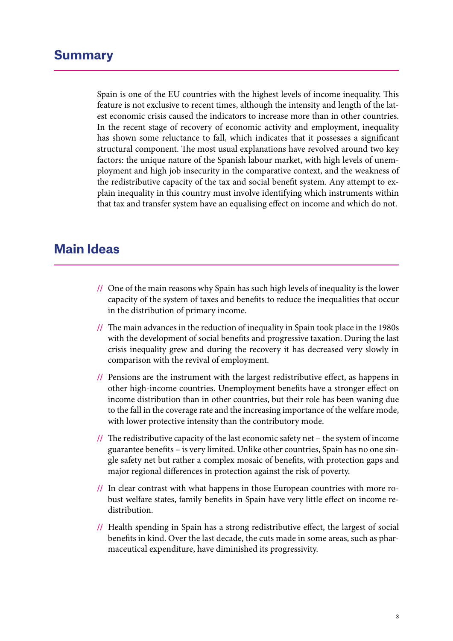# **Summary**

Spain is one of the EU countries with the highest levels of income inequality. This feature is not exclusive to recent times, although the intensity and length of the latest economic crisis caused the indicators to increase more than in other countries. In the recent stage of recovery of economic activity and employment, inequality has shown some reluctance to fall, which indicates that it possesses a significant structural component. The most usual explanations have revolved around two key factors: the unique nature of the Spanish labour market, with high levels of unemployment and high job insecurity in the comparative context, and the weakness of the redistributive capacity of the tax and social benefit system. Any attempt to explain inequality in this country must involve identifying which instruments within that tax and transfer system have an equalising effect on income and which do not.

# **Main Ideas**

- **//** One of the main reasons why Spain has such high levels of inequality is the lower capacity of the system of taxes and benefits to reduce the inequalities that occur in the distribution of primary income.
- **//** The main advances in the reduction of inequality in Spain took place in the 1980s with the development of social benefits and progressive taxation. During the last crisis inequality grew and during the recovery it has decreased very slowly in comparison with the revival of employment.
- **//** Pensions are the instrument with the largest redistributive effect, as happens in other high-income countries. Unemployment benefits have a stronger effect on income distribution than in other countries, but their role has been waning due to the fall in the coverage rate and the increasing importance of the welfare mode, with lower protective intensity than the contributory mode.
- **//** The redistributive capacity of the last economic safety net the system of income guarantee benefits – is very limited. Unlike other countries, Spain has no one single safety net but rather a complex mosaic of benefits, with protection gaps and major regional differences in protection against the risk of poverty.
- **//** In clear contrast with what happens in those European countries with more robust welfare states, family benefits in Spain have very little effect on income redistribution.
- **//** Health spending in Spain has a strong redistributive effect, the largest of social benefits in kind. Over the last decade, the cuts made in some areas, such as pharmaceutical expenditure, have diminished its progressivity.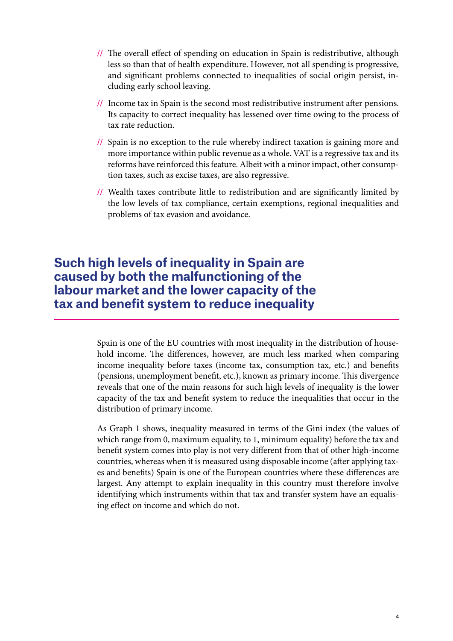- **//** The overall effect of spending on education in Spain is redistributive, although less so than that of health expenditure. However, not all spending is progressive, and significant problems connected to inequalities of social origin persist, including early school leaving.
- **//** Income tax in Spain is the second most redistributive instrument after pensions. Its capacity to correct inequality has lessened over time owing to the process of tax rate reduction.
- **//** Spain is no exception to the rule whereby indirect taxation is gaining more and more importance within public revenue as a whole. VAT is a regressive tax and its reforms have reinforced this feature. Albeit with a minor impact, other consumption taxes, such as excise taxes, are also regressive.
- **//** Wealth taxes contribute little to redistribution and are significantly limited by the low levels of tax compliance, certain exemptions, regional inequalities and problems of tax evasion and avoidance.

# **Such high levels of inequality in Spain are caused by both the malfunctioning of the labour market and the lower capacity of the tax and benefit system to reduce inequality**

Spain is one of the EU countries with most inequality in the distribution of household income. The differences, however, are much less marked when comparing income inequality before taxes (income tax, consumption tax, etc.) and benefits (pensions, unemployment benefit, etc.), known as primary income. This divergence reveals that one of the main reasons for such high levels of inequality is the lower capacity of the tax and benefit system to reduce the inequalities that occur in the distribution of primary income.

As Graph 1 shows, inequality measured in terms of the Gini index (the values of which range from 0, maximum equality, to 1, minimum equality) before the tax and benefit system comes into play is not very different from that of other high-income countries, whereas when it is measured using disposable income (after applying taxes and benefits) Spain is one of the European countries where these differences are largest. Any attempt to explain inequality in this country must therefore involve identifying which instruments within that tax and transfer system have an equalising effect on income and which do not.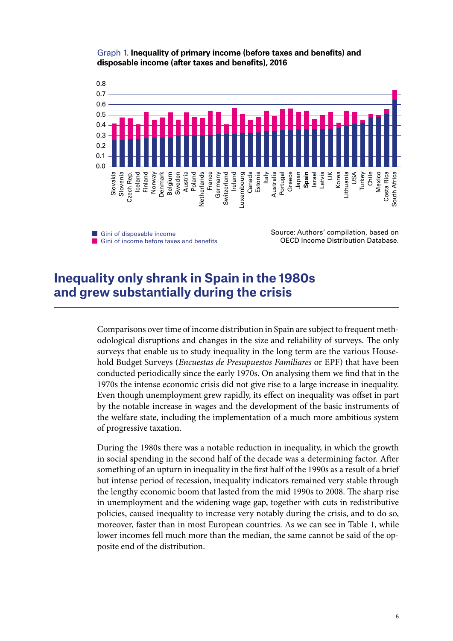### Graph 1. **Inequality of primary income (before taxes and benefits) and disposable income (after taxes and benefits), 2016**



**Gini of disposable income** Gini of income before taxes and benefits

Source: Authors' compilation, based on OECD Income Distribution Database.

# **Inequality only shrank in Spain in the 1980s and grew substantially during the crisis**

Comparisons over time of income distribution in Spain are subject to frequent methodological disruptions and changes in the size and reliability of surveys. The only surveys that enable us to study inequality in the long term are the various Household Budget Surveys (*Encuestas de Presupuestos Familiares* or EPF) that have been conducted periodically since the early 1970s. On analysing them we find that in the 1970s the intense economic crisis did not give rise to a large increase in inequality. Even though unemployment grew rapidly, its effect on inequality was offset in part by the notable increase in wages and the development of the basic instruments of the welfare state, including the implementation of a much more ambitious system of progressive taxation.

During the 1980s there was a notable reduction in inequality, in which the growth in social spending in the second half of the decade was a determining factor. After something of an upturn in inequality in the first half of the 1990s as a result of a brief but intense period of recession, inequality indicators remained very stable through the lengthy economic boom that lasted from the mid 1990s to 2008. The sharp rise in unemployment and the widening wage gap, together with cuts in redistributive policies, caused inequality to increase very notably during the crisis, and to do so, moreover, faster than in most European countries. As we can see in Table 1, while lower incomes fell much more than the median, the same cannot be said of the opposite end of the distribution.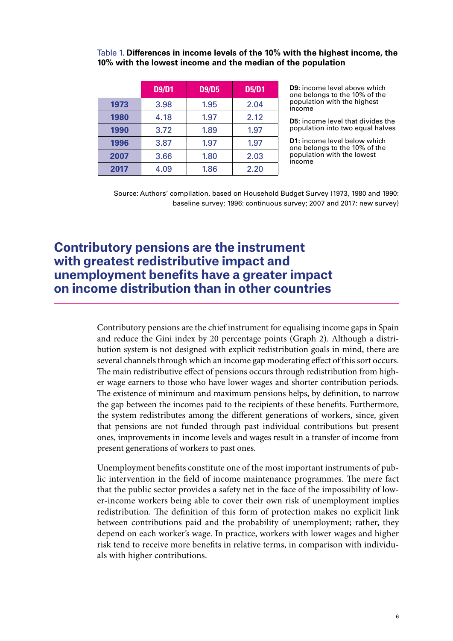Table 1. **Differences in income levels of the 10% with the highest income, the 10% with the lowest income and the median of the population**

|      | <b>D9/D1</b> | <b>D9/D5</b> | <b>D5/D1</b> |
|------|--------------|--------------|--------------|
| 1973 | 3.98         | 1.95         | 2.04         |
| 1980 | 4.18         | 1.97         | 2.12         |
| 1990 | 3.72         | 1.89         | 1.97         |
| 1996 | 3.87         | 1.97         | 1.97         |
| 2007 | 3.66         | 1.80         | 2.03         |
| 2017 | 4.09         | 1.86         | 2.20         |

**D9:** income level above which one belongs to the 10% of the population with the highest income

**D5:** income level that divides the population into two equal halves

**D1:** income level below which one belongs to the 10% of the population with the lowest income

Source: Authors' compilation, based on Household Budget Survey (1973, 1980 and 1990: baseline survey; 1996: continuous survey; 2007 and 2017: new survey)

# **Contributory pensions are the instrument with greatest redistributive impact and unemployment benefits have a greater impact on income distribution than in other countries**

Contributory pensions are the chief instrument for equalising income gaps in Spain and reduce the Gini index by 20 percentage points (Graph 2). Although a distribution system is not designed with explicit redistribution goals in mind, there are several channels through which an income gap moderating effect of this sort occurs. The main redistributive effect of pensions occurs through redistribution from higher wage earners to those who have lower wages and shorter contribution periods. The existence of minimum and maximum pensions helps, by definition, to narrow the gap between the incomes paid to the recipients of these benefits. Furthermore, the system redistributes among the different generations of workers, since, given that pensions are not funded through past individual contributions but present ones, improvements in income levels and wages result in a transfer of income from present generations of workers to past ones.

Unemployment benefits constitute one of the most important instruments of public intervention in the field of income maintenance programmes. The mere fact that the public sector provides a safety net in the face of the impossibility of lower-income workers being able to cover their own risk of unemployment implies redistribution. The definition of this form of protection makes no explicit link between contributions paid and the probability of unemployment; rather, they depend on each worker's wage. In practice, workers with lower wages and higher risk tend to receive more benefits in relative terms, in comparison with individuals with higher contributions.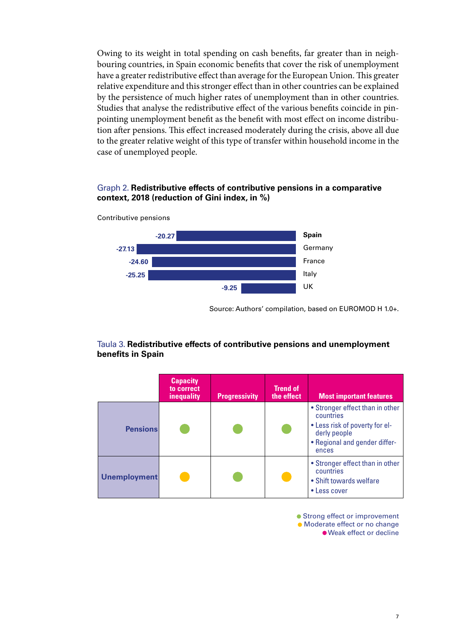Owing to its weight in total spending on cash benefits, far greater than in neighbouring countries, in Spain economic benefits that cover the risk of unemployment have a greater redistributive effect than average for the European Union. This greater relative expenditure and this stronger effect than in other countries can be explained by the persistence of much higher rates of unemployment than in other countries. Studies that analyse the redistributive effect of the various benefits coincide in pinpointing unemployment benefit as the benefit with most effect on income distribution after pensions. This effect increased moderately during the crisis, above all due to the greater relative weight of this type of transfer within household income in the case of unemployed people.

### Graph 2. **Redistributive effects of contributive pensions in a comparative context, 2018 (reduction of Gini index, in %)**



Contributive pensions

Source: Authors' compilation, based on EUROMOD H 1.0+.

### Taula 3. **Redistributive effects of contributive pensions and unemployment benefits in Spain**

|                     | <b>Capacity</b><br>to correct<br>inequality | <b>Progressivity</b> | <b>Trend of</b><br>the effect | <b>Most important features</b>                                                                                                           |
|---------------------|---------------------------------------------|----------------------|-------------------------------|------------------------------------------------------------------------------------------------------------------------------------------|
| <b>Pensions</b>     |                                             |                      |                               | • Stronger effect than in other<br>countries<br>• Less risk of poverty for el-<br>derly people<br>• Regional and gender differ-<br>ences |
| <b>Unemployment</b> |                                             |                      |                               | • Stronger effect than in other<br>countries<br>• Shift towards welfare<br>• Less cover                                                  |

● Strong effect or improvement Moderate effect or no change Weak effect or decline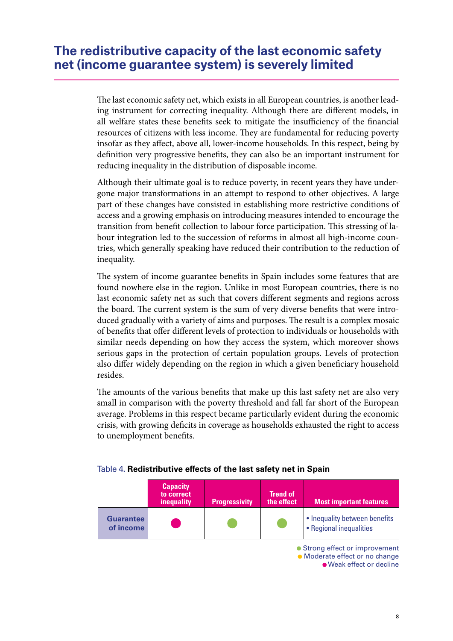The last economic safety net, which exists in all European countries, is another leading instrument for correcting inequality. Although there are different models, in all welfare states these benefits seek to mitigate the insufficiency of the financial resources of citizens with less income. They are fundamental for reducing poverty insofar as they affect, above all, lower-income households. In this respect, being by definition very progressive benefits, they can also be an important instrument for reducing inequality in the distribution of disposable income.

Although their ultimate goal is to reduce poverty, in recent years they have undergone major transformations in an attempt to respond to other objectives. A large part of these changes have consisted in establishing more restrictive conditions of access and a growing emphasis on introducing measures intended to encourage the transition from benefit collection to labour force participation. This stressing of labour integration led to the succession of reforms in almost all high-income countries, which generally speaking have reduced their contribution to the reduction of inequality.

The system of income guarantee benefits in Spain includes some features that are found nowhere else in the region. Unlike in most European countries, there is no last economic safety net as such that covers different segments and regions across the board. The current system is the sum of very diverse benefits that were introduced gradually with a variety of aims and purposes. The result is a complex mosaic of benefits that offer different levels of protection to individuals or households with similar needs depending on how they access the system, which moreover shows serious gaps in the protection of certain population groups. Levels of protection also differ widely depending on the region in which a given beneficiary household resides.

The amounts of the various benefits that make up this last safety net are also very small in comparison with the poverty threshold and fall far short of the European average. Problems in this respect became particularly evident during the economic crisis, with growing deficits in coverage as households exhausted the right to access to unemployment benefits.

|                               | <b>Capacity</b><br>to correct<br>inequality | <b>Progressivity</b> | <b>Trend of</b><br>the effect | <b>Most important features</b>                           |
|-------------------------------|---------------------------------------------|----------------------|-------------------------------|----------------------------------------------------------|
| <b>Guarantee</b><br>of income |                                             |                      |                               | • Inequality between benefits<br>• Regional inequalities |
|                               |                                             |                      |                               | • Strong effect or improvement                           |

### Table 4. **Redistributive effects of the last safety net in Spain**

Moderate effect or no change

Weak effect or decline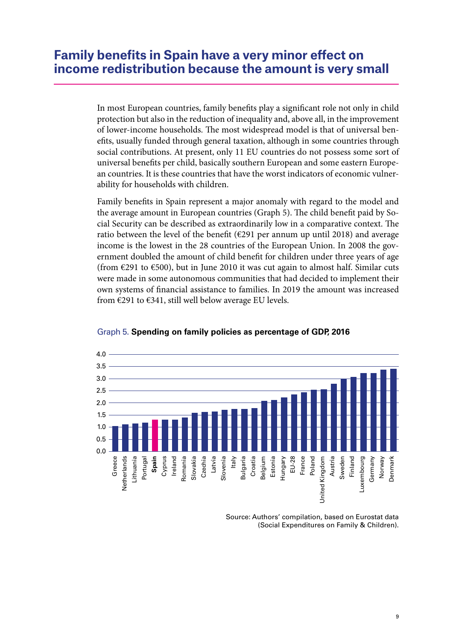In most European countries, family benefits play a significant role not only in child protection but also in the reduction of inequality and, above all, in the improvement of lower-income households. The most widespread model is that of universal benefits, usually funded through general taxation, although in some countries through social contributions. At present, only 11 EU countries do not possess some sort of universal benefits per child, basically southern European and some eastern European countries. It is these countries that have the worst indicators of economic vulnerability for households with children.

Family benefits in Spain represent a major anomaly with regard to the model and the average amount in European countries (Graph 5). The child benefit paid by Social Security can be described as extraordinarily low in a comparative context. The ratio between the level of the benefit  $(\epsilon 291$  per annum up until 2018) and average income is the lowest in the 28 countries of the European Union. In 2008 the government doubled the amount of child benefit for children under three years of age (from  $\epsilon$ 291 to  $\epsilon$ 500), but in June 2010 it was cut again to almost half. Similar cuts were made in some autonomous communities that had decided to implement their own systems of financial assistance to families. In 2019 the amount was increased from  $\epsilon$ 291 to  $\epsilon$ 341, still well below average EU levels.





Source: Authors' compilation, based on Eurostat data (Social Expenditures on Family & Children).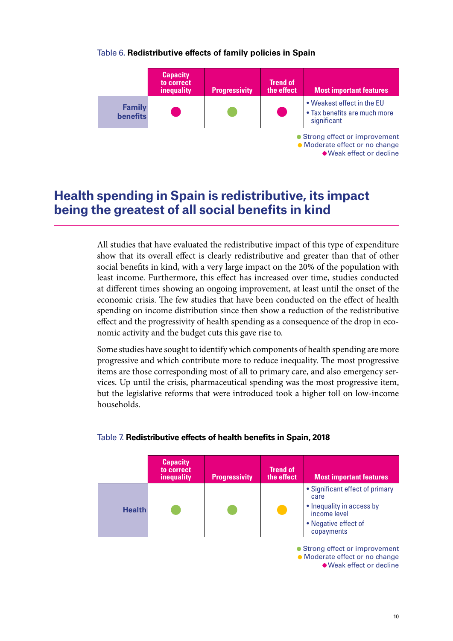## Table 6. **Redistributive effects of family policies in Spain**



Weak effect or decline

# **Health spending in Spain is redistributive, its impact being the greatest of all social benefits in kind**

All studies that have evaluated the redistributive impact of this type of expenditure show that its overall effect is clearly redistributive and greater than that of other social benefits in kind, with a very large impact on the 20% of the population with least income. Furthermore, this effect has increased over time, studies conducted at different times showing an ongoing improvement, at least until the onset of the economic crisis. The few studies that have been conducted on the effect of health spending on income distribution since then show a reduction of the redistributive effect and the progressivity of health spending as a consequence of the drop in economic activity and the budget cuts this gave rise to.

Some studies have sought to identify which components of health spending are more progressive and which contribute more to reduce inequality. The most progressive items are those corresponding most of all to primary care, and also emergency services. Up until the crisis, pharmaceutical spending was the most progressive item, but the legislative reforms that were introduced took a higher toll on low-income households.

|               | <b>Capacity</b><br>to correct<br>inequality | <b>Progressivity</b> | <b>Trend of</b><br>the effect | <b>Most important features</b>                                                                                             |
|---------------|---------------------------------------------|----------------------|-------------------------------|----------------------------------------------------------------------------------------------------------------------------|
| <b>Health</b> |                                             |                      |                               | • Significant effect of primary<br>care<br>• Inequality in access by<br>income level<br>• Negative effect of<br>copayments |

### Table 7. **Redistributive effects of health benefits in Spain, 2018**

● Strong effect or improvement Moderate effect or no change Weak effect or decline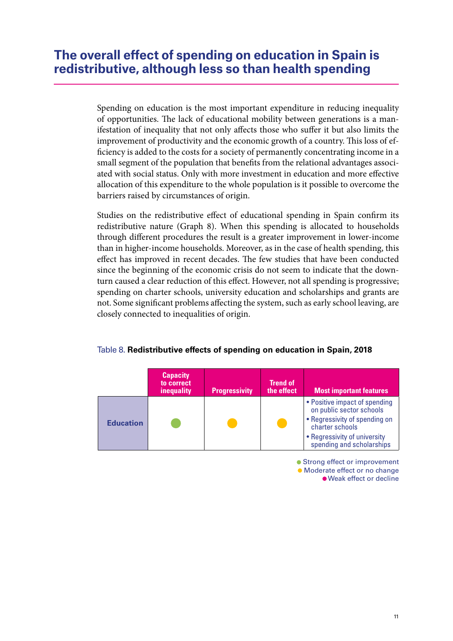# **The overall effect of spending on education in Spain is redistributive, although less so than health spending**

Spending on education is the most important expenditure in reducing inequality of opportunities. The lack of educational mobility between generations is a manifestation of inequality that not only affects those who suffer it but also limits the improvement of productivity and the economic growth of a country. This loss of efficiency is added to the costs for a society of permanently concentrating income in a small segment of the population that benefits from the relational advantages associated with social status. Only with more investment in education and more effective allocation of this expenditure to the whole population is it possible to overcome the barriers raised by circumstances of origin.

Studies on the redistributive effect of educational spending in Spain confirm its redistributive nature (Graph 8). When this spending is allocated to households through different procedures the result is a greater improvement in lower-income than in higher-income households. Moreover, as in the case of health spending, this effect has improved in recent decades. The few studies that have been conducted since the beginning of the economic crisis do not seem to indicate that the downturn caused a clear reduction of this effect. However, not all spending is progressive; spending on charter schools, university education and scholarships and grants are not. Some significant problems affecting the system, such as early school leaving, are closely connected to inequalities of origin.

|                  | <b>Capacity</b><br>to correct<br>inequality | <b>Progressivity</b> | <b>Trend of</b><br>the effect | <b>Most important features</b>                                                                                                                                             |
|------------------|---------------------------------------------|----------------------|-------------------------------|----------------------------------------------------------------------------------------------------------------------------------------------------------------------------|
| <b>Education</b> |                                             |                      |                               | • Positive impact of spending<br>on public sector schools<br>• Regressivity of spending on<br>charter schools<br>• Regressivity of university<br>spending and scholarships |

### Table 8. **Redistributive effects of spending on education in Spain, 2018**

● Strong effect or improvement  $\bullet$  Moderate effect or no change Weak effect or decline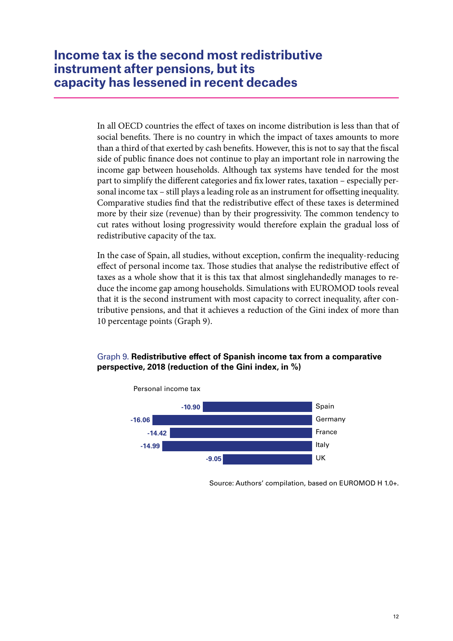In all OECD countries the effect of taxes on income distribution is less than that of social benefits. There is no country in which the impact of taxes amounts to more than a third of that exerted by cash benefits. However, this is not to say that the fiscal side of public finance does not continue to play an important role in narrowing the income gap between households. Although tax systems have tended for the most part to simplify the different categories and fix lower rates, taxation – especially personal income tax – still plays a leading role as an instrument for offsetting inequality. Comparative studies find that the redistributive effect of these taxes is determined more by their size (revenue) than by their progressivity. The common tendency to cut rates without losing progressivity would therefore explain the gradual loss of redistributive capacity of the tax.

In the case of Spain, all studies, without exception, confirm the inequality-reducing effect of personal income tax. Those studies that analyse the redistributive effect of taxes as a whole show that it is this tax that almost singlehandedly manages to reduce the income gap among households. Simulations with EUROMOD tools reveal that it is the second instrument with most capacity to correct inequality, after contributive pensions, and that it achieves a reduction of the Gini index of more than 10 percentage points (Graph 9).

## Graph 9. **Redistributive effect of Spanish income tax from a comparative perspective, 2018 (reduction of the Gini index, in %)**



Source: Authors' compilation, based on EUROMOD H 1.0+.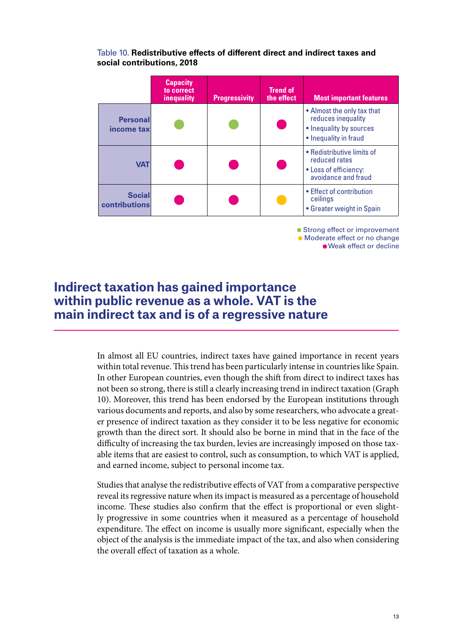### Table 10. **Redistributive effects of different direct and indirect taxes and social contributions, 2018**

|                                | <b>Capacity</b><br>to correct<br>inequality | <b>Progressivity</b> | <b>Trend of</b><br>the effect | <b>Most important features</b>                                                                       |
|--------------------------------|---------------------------------------------|----------------------|-------------------------------|------------------------------------------------------------------------------------------------------|
| <b>Personal</b><br>income tax  |                                             |                      |                               | • Almost the only tax that<br>reduces inequality<br>• Inequality by sources<br>• Inequality in fraud |
| <b>VAT</b>                     |                                             |                      |                               | • Redistributive limits of<br>reduced rates<br>• Loss of efficiency:<br>avoidance and fraud          |
| <b>Social</b><br>contributions |                                             |                      |                               | • Effect of contribution<br>ceilings<br>• Greater weight in Spain                                    |

● Strong effect or improvement  $\bullet$  Moderate effect or no change Weak effect or decline

# **Indirect taxation has gained importance within public revenue as a whole. VAT is the main indirect tax and is of a regressive nature**

In almost all EU countries, indirect taxes have gained importance in recent years within total revenue. This trend has been particularly intense in countries like Spain. In other European countries, even though the shift from direct to indirect taxes has not been so strong, there is still a clearly increasing trend in indirect taxation (Graph 10). Moreover, this trend has been endorsed by the European institutions through various documents and reports, and also by some researchers, who advocate a greater presence of indirect taxation as they consider it to be less negative for economic growth than the direct sort. It should also be borne in mind that in the face of the difficulty of increasing the tax burden, levies are increasingly imposed on those taxable items that are easiest to control, such as consumption, to which VAT is applied, and earned income, subject to personal income tax.

Studies that analyse the redistributive effects of VAT from a comparative perspective reveal its regressive nature when its impact is measured as a percentage of household income. These studies also confirm that the effect is proportional or even slightly progressive in some countries when it measured as a percentage of household expenditure. The effect on income is usually more significant, especially when the object of the analysis is the immediate impact of the tax, and also when considering the overall effect of taxation as a whole.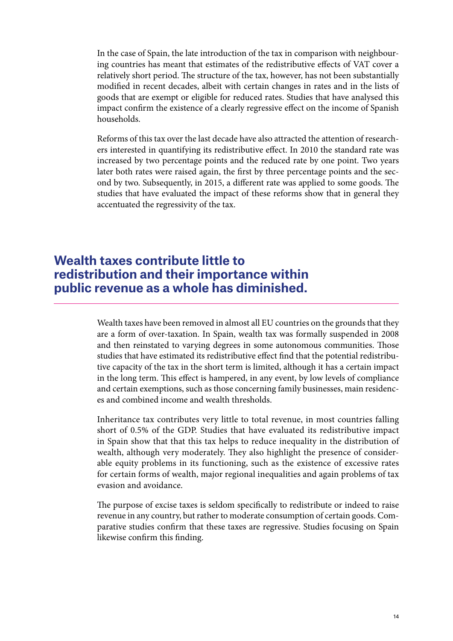In the case of Spain, the late introduction of the tax in comparison with neighbouring countries has meant that estimates of the redistributive effects of VAT cover a relatively short period. The structure of the tax, however, has not been substantially modified in recent decades, albeit with certain changes in rates and in the lists of goods that are exempt or eligible for reduced rates. Studies that have analysed this impact confirm the existence of a clearly regressive effect on the income of Spanish households.

Reforms of this tax over the last decade have also attracted the attention of researchers interested in quantifying its redistributive effect. In 2010 the standard rate was increased by two percentage points and the reduced rate by one point. Two years later both rates were raised again, the first by three percentage points and the second by two. Subsequently, in 2015, a different rate was applied to some goods. The studies that have evaluated the impact of these reforms show that in general they accentuated the regressivity of the tax.

# **Wealth taxes contribute little to redistribution and their importance within public revenue as a whole has diminished.**

Wealth taxes have been removed in almost all EU countries on the grounds that they are a form of over-taxation. In Spain, wealth tax was formally suspended in 2008 and then reinstated to varying degrees in some autonomous communities. Those studies that have estimated its redistributive effect find that the potential redistributive capacity of the tax in the short term is limited, although it has a certain impact in the long term. This effect is hampered, in any event, by low levels of compliance and certain exemptions, such as those concerning family businesses, main residences and combined income and wealth thresholds.

Inheritance tax contributes very little to total revenue, in most countries falling short of 0.5% of the GDP. Studies that have evaluated its redistributive impact in Spain show that that this tax helps to reduce inequality in the distribution of wealth, although very moderately. They also highlight the presence of considerable equity problems in its functioning, such as the existence of excessive rates for certain forms of wealth, major regional inequalities and again problems of tax evasion and avoidance.

The purpose of excise taxes is seldom specifically to redistribute or indeed to raise revenue in any country, but rather to moderate consumption of certain goods. Comparative studies confirm that these taxes are regressive. Studies focusing on Spain likewise confirm this finding.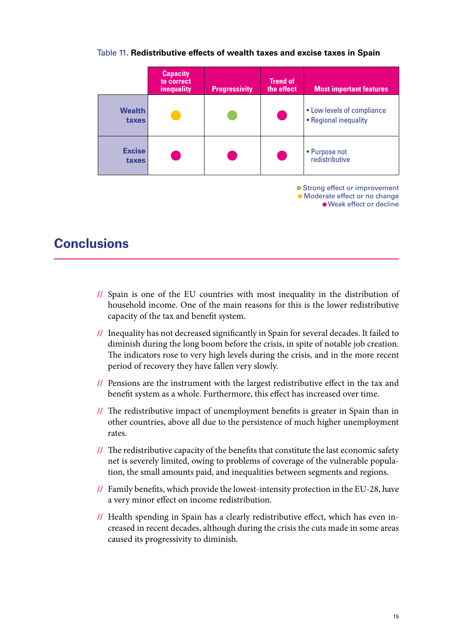|                        | <b>Capacity</b><br>to correct<br>inequality | <b>Progressivity</b> | <b>Trend of</b><br>the effect | <b>Most important features</b>                                                               |
|------------------------|---------------------------------------------|----------------------|-------------------------------|----------------------------------------------------------------------------------------------|
| <b>Wealth</b><br>taxes |                                             |                      |                               | • Low levels of compliance<br>• Regional inequality                                          |
| <b>Excise</b><br>taxes |                                             |                      |                               | • Purpose not<br>redistributive                                                              |
|                        |                                             |                      |                               | • Strong effect or improvement<br>• Moderate effect or no change<br>• Weak effect or decline |

### Table 11**. Redistributive effects of wealth taxes and excise taxes in Spain**

# **Conclusions**

- **//** Spain is one of the EU countries with most inequality in the distribution of household income. One of the main reasons for this is the lower redistributive capacity of the tax and benefit system.
- **//** Inequality has not decreased significantly in Spain for several decades. It failed to diminish during the long boom before the crisis, in spite of notable job creation. The indicators rose to very high levels during the crisis, and in the more recent period of recovery they have fallen very slowly.
- **//** Pensions are the instrument with the largest redistributive effect in the tax and benefit system as a whole. Furthermore, this effect has increased over time.
- **//** The redistributive impact of unemployment benefits is greater in Spain than in other countries, above all due to the persistence of much higher unemployment rates.
- **//** The redistributive capacity of the benefits that constitute the last economic safety net is severely limited, owing to problems of coverage of the vulnerable population, the small amounts paid, and inequalities between segments and regions.
- **//** Family benefits, which provide the lowest-intensity protection in the EU-28, have a very minor effect on income redistribution.
- **//** Health spending in Spain has a clearly redistributive effect, which has even increased in recent decades, although during the crisis the cuts made in some areas caused its progressivity to diminish.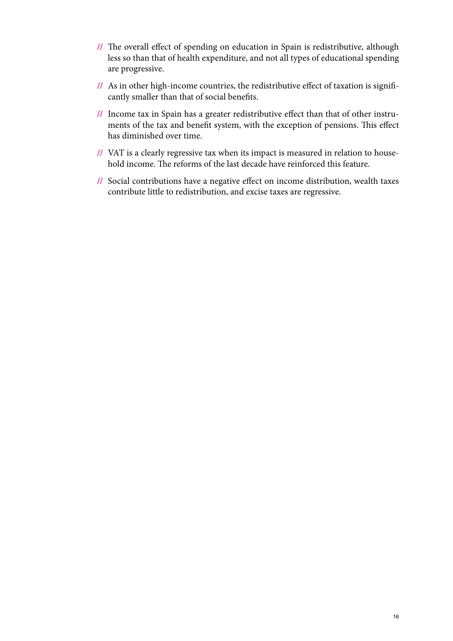- **//** The overall effect of spending on education in Spain is redistributive, although less so than that of health expenditure, and not all types of educational spending are progressive.
- **//** As in other high-income countries, the redistributive effect of taxation is significantly smaller than that of social benefits.
- **//** Income tax in Spain has a greater redistributive effect than that of other instruments of the tax and benefit system, with the exception of pensions. This effect has diminished over time.
- **//** VAT is a clearly regressive tax when its impact is measured in relation to household income. The reforms of the last decade have reinforced this feature.
- **//** Social contributions have a negative effect on income distribution, wealth taxes contribute little to redistribution, and excise taxes are regressive.